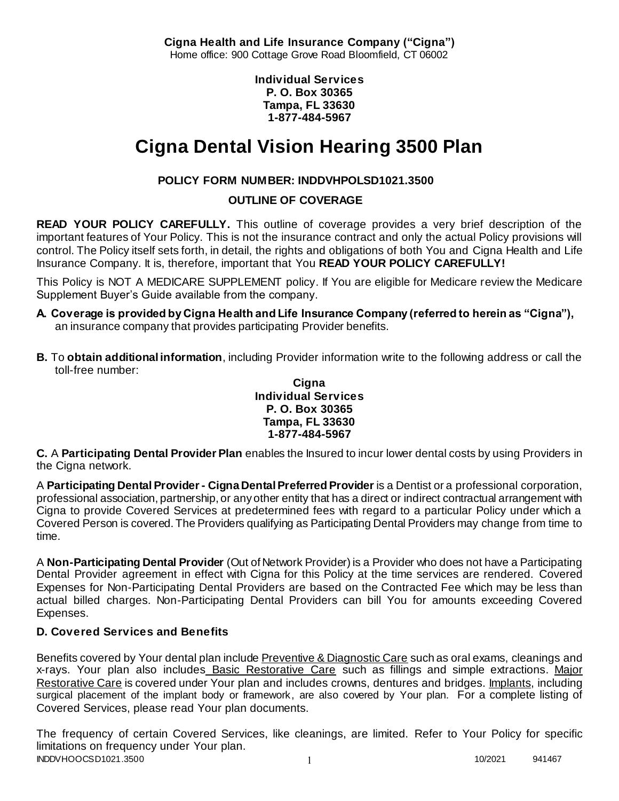**Cigna Health and Life Insurance Company ("Cigna")** Home office: 900 Cottage Grove Road Bloomfield, CT 06002

> **Individual Services P. O. Box 30365 Tampa, FL 33630 1-877-484-5967**

# **Cigna Dental Vision Hearing 3500 Plan**

# **POLICY FORM NUMBER: INDDVHPOLSD1021.3500**

**OUTLINE OF COVERAGE** 

**READ YOUR POLICY CAREFULLY.** This outline of coverage provides a very brief description of the important features of Your Policy. This is not the insurance contract and only the actual Policy provisions will control. The Policy itself sets forth, in detail, the rights and obligations of both You and Cigna Health and Life Insurance Company. It is, therefore, important that You **READ YOUR POLICY CAREFULLY!** 

This Policy is NOT A MEDICARE SUPPLEMENT policy. If You are eligible for Medicare review the Medicare Supplement Buyer's Guide available from the company.

- **A. Coverage is provided by Cigna Health and Life Insurance Company (referred to herein as "Cigna"),**  an insurance company that provides participating Provider benefits.
- **B.** To **obtain additional information**, including Provider information write to the following address or call the toll-free number:

### **Cigna Individual Services P. O. Box 30365 Tampa, FL 33630 1-877-484-5967**

**C.** A **Participating Dental Provider Plan** enables the Insured to incur lower dental costs by using Providers in the Cigna network.

A **Participating Dental Provider - Cigna Dental Preferred Provider** is a Dentist or a professional corporation, professional association, partnership, or any other entity that has a direct or indirect contractual arrangement with Cigna to provide Covered Services at predetermined fees with regard to a particular Policy under which a Covered Person is covered. The Providers qualifying as Participating Dental Providers may change from time to time.

A **Non-Participating Dental Provider** (Out of Network Provider) is a Provider who does not have a Participating Dental Provider agreement in effect with Cigna for this Policy at the time services are rendered. Covered Expenses for Non-Participating Dental Providers are based on the Contracted Fee which may be less than actual billed charges. Non-Participating Dental Providers can bill You for amounts exceeding Covered Expenses.

# **D. Covered Services and Benefits**

Benefits covered by Your dental plan include Preventive & Diagnostic Care such as oral exams, cleanings and x-rays. Your plan also includes Basic Restorative Care such as fillings and simple extractions. Major Restorative Care is covered under Your plan and includes crowns, dentures and bridges. Implants, including surgical placement of the implant body or framework, are also covered by Your plan. For a complete listing of Covered Services, please read Your plan documents.

INDDVHOOCSD1021.3500 1 2020 1 2020 1 2020 1 2020 1 2020 1 2020 1 2020 1 2020 1 2020 1 2020 1 2020 1 2020 1 2020 1 2020 1 2020 1 2020 1 2020 1 2020 1 2020 1 2020 1 2020 1 2020 1 2020 1 2020 1 2020 1 2020 1 2020 1 2020 1 202 The frequency of certain Covered Services, like cleanings, are limited. Refer to Your Policy for specific limitations on frequency under Your plan.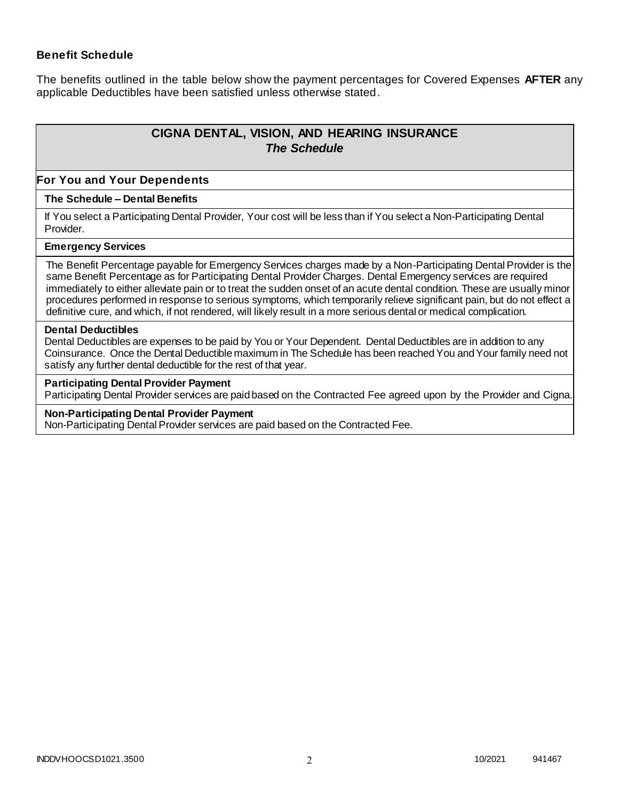### **Benefit Schedule**

The benefits outlined in the table below show the payment percentages for Covered Expenses **AFTER** any applicable Deductibles have been satisfied unless otherwise stated.

# **CIGNA DENTAL, VISION, AND HEARING INSURANCE** *The Schedule*

#### **For You and Your Dependents**

#### **The Schedule – Dental Benefits**

If You select a Participating Dental Provider, Your cost will be less than if You select a Non-Participating Dental Provider.

#### **Emergency Services**

The Benefit Percentage payable for Emergency Services charges made by a Non-Participating Dental Provider is the same Benefit Percentage as for Participating Dental Provider Charges. Dental Emergency services are required immediately to either alleviate pain or to treat the sudden onset of an acute dental condition. These are usually minor procedures performed in response to serious symptoms, which temporarily relieve significant pain, but do not effect a definitive cure, and which, if not rendered, will likely result in a more serious dental or medical complication.

#### **Dental Deductibles**

Dental Deductibles are expenses to be paid by You or Your Dependent. Dental Deductibles are in addition to any Coinsurance. Once the Dental Deductible maximum in The Schedule has been reached You and Your family need not satisfy any further dental deductible for the rest of that year.

#### **Participating Dental Provider Payment**

Participating Dental Provider services are paid based on the Contracted Fee agreed upon by the Provider and Cigna.

#### **Non-Participating Dental Provider Payment**

Non-Participating Dental Provider services are paid based on the Contracted Fee.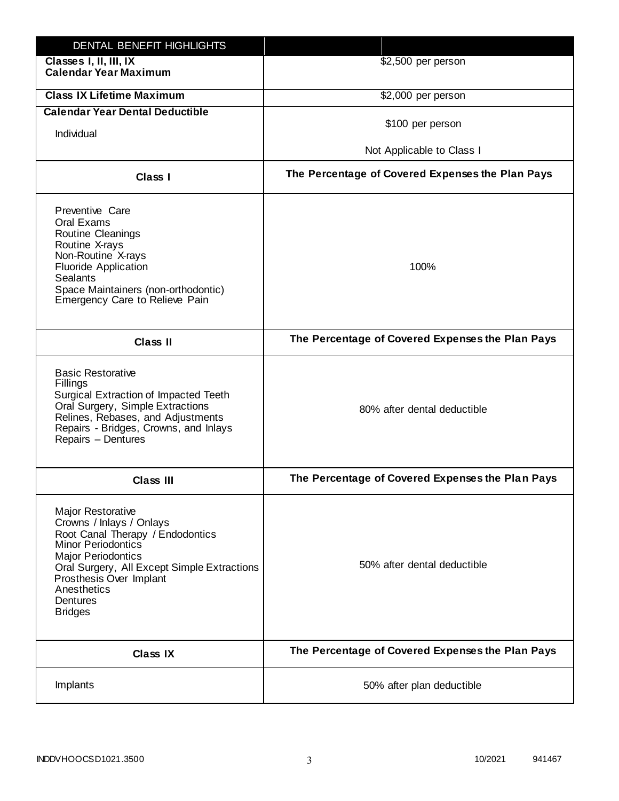| DENTAL BENEFIT HIGHLIGHTS                                                                                                                                                                                                                                                 |                                                  |
|---------------------------------------------------------------------------------------------------------------------------------------------------------------------------------------------------------------------------------------------------------------------------|--------------------------------------------------|
| Classes I, II, III, IX<br><b>Calendar Year Maximum</b>                                                                                                                                                                                                                    | \$2,500 per person                               |
| <b>Class IX Lifetime Maximum</b>                                                                                                                                                                                                                                          | \$2,000 per person                               |
| <b>Calendar Year Dental Deductible</b>                                                                                                                                                                                                                                    |                                                  |
| Individual                                                                                                                                                                                                                                                                | \$100 per person                                 |
|                                                                                                                                                                                                                                                                           | Not Applicable to Class I                        |
| Class I                                                                                                                                                                                                                                                                   | The Percentage of Covered Expenses the Plan Pays |
| Preventive Care<br>Oral Exams<br><b>Routine Cleanings</b><br>Routine X-rays<br>Non-Routine X-rays<br><b>Fluoride Application</b><br><b>Sealants</b><br>Space Maintainers (non-orthodontic)<br>Emergency Care to Relieve Pain                                              | 100%                                             |
| <b>Class II</b>                                                                                                                                                                                                                                                           | The Percentage of Covered Expenses the Plan Pays |
| <b>Basic Restorative</b><br>Fillings<br>Surgical Extraction of Impacted Teeth<br>Oral Surgery, Simple Extractions<br>Relines, Rebases, and Adjustments<br>Repairs - Bridges, Crowns, and Inlays<br>Repairs - Dentures                                                     | 80% after dental deductible                      |
| <b>Class III</b>                                                                                                                                                                                                                                                          | The Percentage of Covered Expenses the Plan Pays |
| <b>Major Restorative</b><br>Crowns / Inlays / Onlays<br>Root Canal Therapy / Endodontics<br><b>Minor Periodontics</b><br><b>Major Periodontics</b><br>Oral Surgery, All Except Simple Extractions<br>Prosthesis Over Implant<br>Anesthetics<br>Dentures<br><b>Bridges</b> | 50% after dental deductible                      |
| <b>Class IX</b>                                                                                                                                                                                                                                                           | The Percentage of Covered Expenses the Plan Pays |
| Implants                                                                                                                                                                                                                                                                  | 50% after plan deductible                        |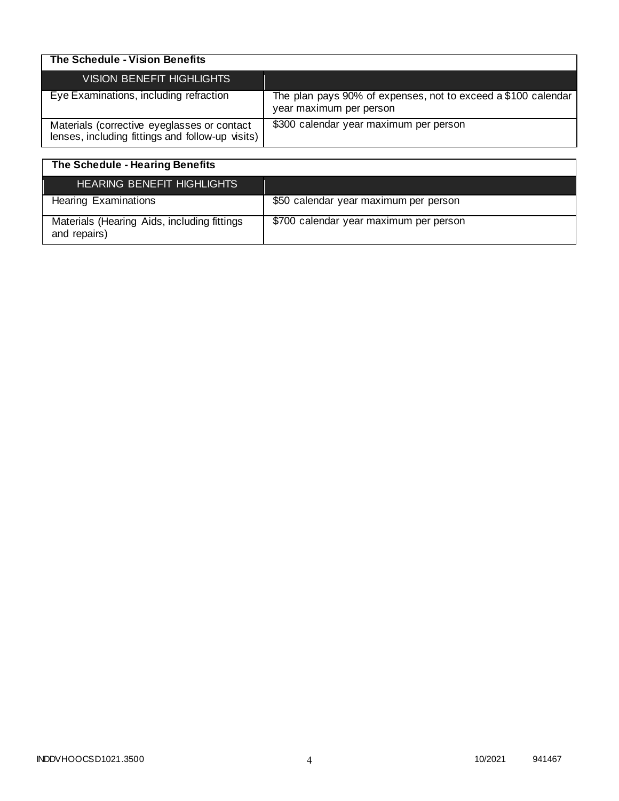| The Schedule - Vision Benefits                                                                  |                                                                                          |
|-------------------------------------------------------------------------------------------------|------------------------------------------------------------------------------------------|
| <b>VISION BENEFIT HIGHLIGHTS</b>                                                                |                                                                                          |
| Eye Examinations, including refraction                                                          | The plan pays 90% of expenses, not to exceed a \$100 calendar<br>year maximum per person |
| Materials (corrective eyeglasses or contact<br>lenses, including fittings and follow-up visits) | \$300 calendar year maximum per person                                                   |

| The Schedule - Hearing Benefits                             |                                        |
|-------------------------------------------------------------|----------------------------------------|
| <b>HEARING BENEFIT HIGHLIGHTS</b>                           |                                        |
| <b>Hearing Examinations</b>                                 | \$50 calendar year maximum per person  |
| Materials (Hearing Aids, including fittings<br>and repairs) | \$700 calendar year maximum per person |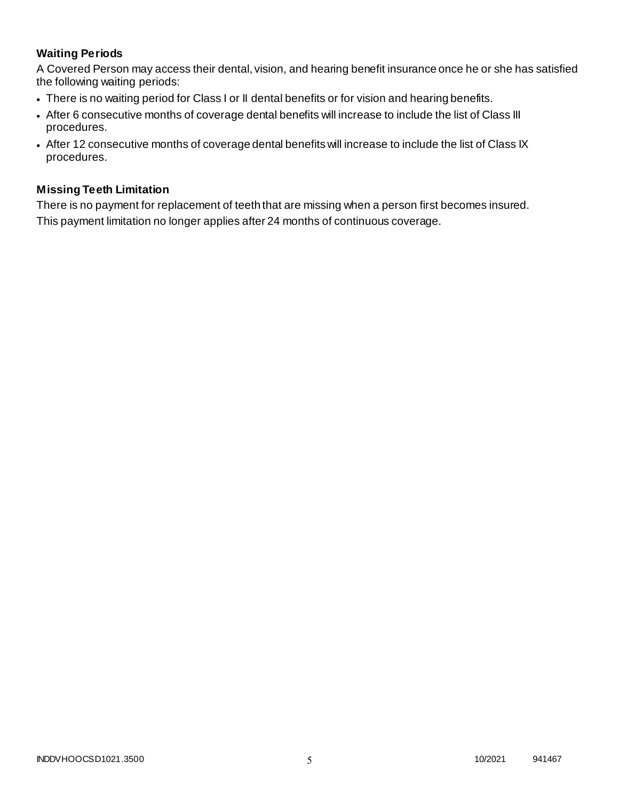# **Waiting Periods**

A Covered Person may access their dental, vision, and hearing benefit insurance once he or she has satisfied the following waiting periods:

- There is no waiting period for Class I or II dental benefits or for vision and hearing benefits.
- After 6 consecutive months of coverage dental benefits will increase to include the list of Class III procedures.
- After 12 consecutive months of coverage dental benefits will increase to include the list of Class IX procedures.

### **Missing Teeth Limitation**

There is no payment for replacement of teeth that are missing when a person first becomes insured. This payment limitation no longer applies after 24 months of continuous coverage.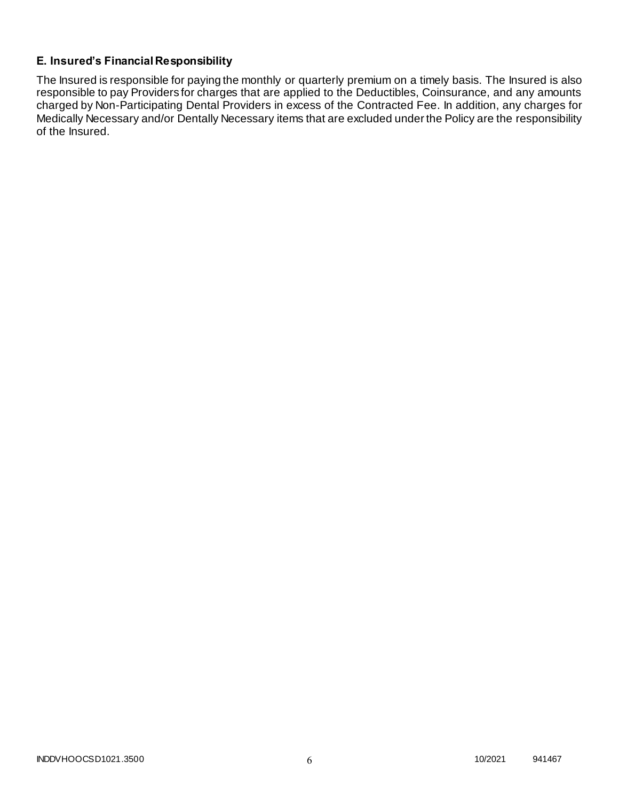# **E. Insured's Financial Responsibility**

The Insured is responsible for paying the monthly or quarterly premium on a timely basis. The Insured is also responsible to pay Providers for charges that are applied to the Deductibles, Coinsurance, and any amounts charged by Non-Participating Dental Providers in excess of the Contracted Fee. In addition, any charges for Medically Necessary and/or Dentally Necessary items that are excluded under the Policy are the responsibility of the Insured.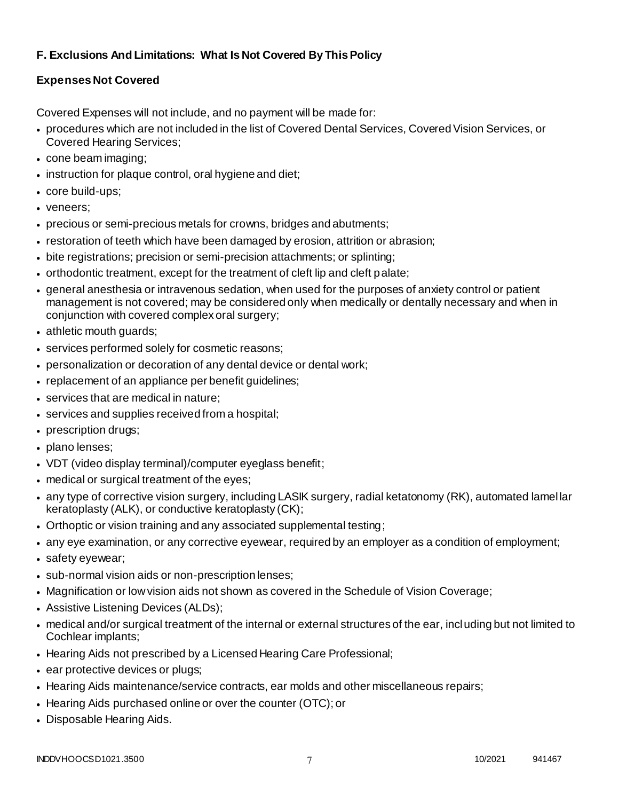# **F. Exclusions And Limitations: What Is Not Covered By This Policy**

# **Expenses Not Covered**

Covered Expenses will not include, and no payment will be made for:

- procedures which are not included in the list of Covered Dental Services, Covered Vision Services, or Covered Hearing Services;
- cone beam imaging;
- instruction for plaque control, oral hygiene and diet;
- core build-ups;
- veneers;
- precious or semi-precious metals for crowns, bridges and abutments;
- restoration of teeth which have been damaged by erosion, attrition or abrasion;
- bite registrations; precision or semi-precision attachments; or splinting;
- orthodontic treatment, except for the treatment of cleft lip and cleft palate;
- general anesthesia or intravenous sedation, when used for the purposes of anxiety control or patient management is not covered; may be considered only when medically or dentally necessary and when in conjunction with covered complex oral surgery;
- athletic mouth guards;
- services performed solely for cosmetic reasons;
- personalization or decoration of any dental device or dental work;
- replacement of an appliance per benefit guidelines;
- services that are medical in nature;
- services and supplies received from a hospital;
- prescription drugs;
- plano lenses;
- VDT (video display terminal)/computer eyeglass benefit;
- medical or surgical treatment of the eyes;
- any type of corrective vision surgery, including LASIK surgery, radial ketatonomy (RK), automated lamel lar keratoplasty (ALK), or conductive keratoplasty (CK);
- Orthoptic or vision training and any associated supplemental testing;
- any eye examination, or any corrective eyewear, required by an employer as a condition of employment;
- safety eyewear;
- sub-normal vision aids or non-prescription lenses;
- Magnification or low vision aids not shown as covered in the Schedule of Vision Coverage;
- Assistive Listening Devices (ALDs);
- medical and/or surgical treatment of the internal or external structures of the ear, including but not limited to Cochlear implants;
- Hearing Aids not prescribed by a Licensed Hearing Care Professional;
- ear protective devices or plugs;
- Hearing Aids maintenance/service contracts, ear molds and other miscellaneous repairs;
- Hearing Aids purchased online or over the counter (OTC); or
- Disposable Hearing Aids.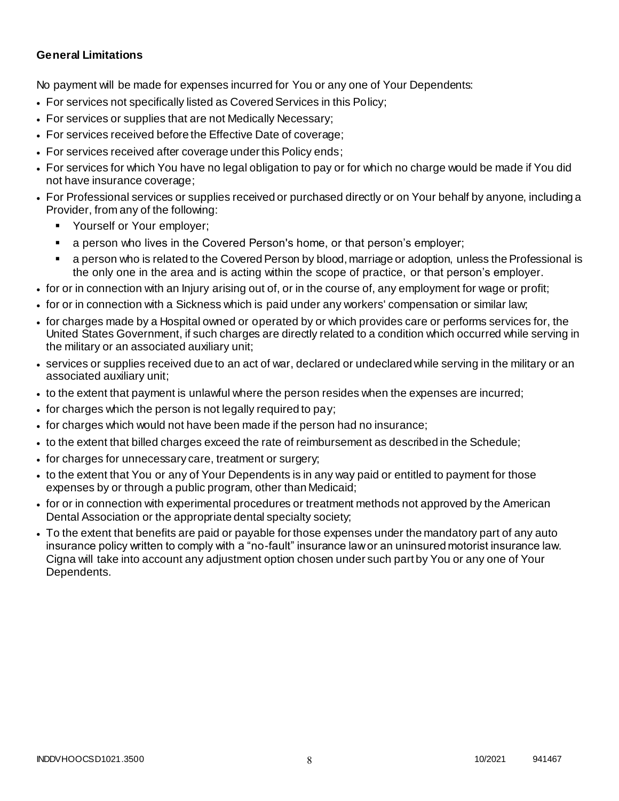### **General Limitations**

No payment will be made for expenses incurred for You or any one of Your Dependents:

- For services not specifically listed as Covered Services in this Policy;
- For services or supplies that are not Medically Necessary;
- For services received before the Effective Date of coverage;
- For services received after coverage under this Policy ends;
- For services for which You have no legal obligation to pay or for which no charge would be made if You did not have insurance coverage;
- For Professional services or supplies received or purchased directly or on Your behalf by anyone, including a Provider, from any of the following:
	- Yourself or Your employer;
	- a person who lives in the Covered Person's home, or that person's employer;
	- a person who is related to the Covered Person by blood, marriage or adoption, unless the Professional is the only one in the area and is acting within the scope of practice, or that person's employer.
- for or in connection with an Injury arising out of, or in the course of, any employment for wage or profit;
- for or in connection with a Sickness which is paid under any workers' compensation or similar law;
- for charges made by a Hospital owned or operated by or which provides care or performs services for, the United States Government, if such charges are directly related to a condition which occurred while serving in the military or an associated auxiliary unit;
- services or supplies received due to an act of war, declared or undeclared while serving in the military or an associated auxiliary unit;
- to the extent that payment is unlawful where the person resides when the expenses are incurred;
- for charges which the person is not legally required to pay;
- for charges which would not have been made if the person had no insurance;
- to the extent that billed charges exceed the rate of reimbursement as described in the Schedule;
- for charges for unnecessary care, treatment or surgery;
- to the extent that You or any of Your Dependents is in any way paid or entitled to payment for those expenses by or through a public program, other than Medicaid;
- for or in connection with experimental procedures or treatment methods not approved by the American Dental Association or the appropriate dental specialty society;
- To the extent that benefits are paid or payable for those expenses under the mandatory part of any auto insurance policy written to comply with a "no-fault" insurance law or an uninsured motorist insurance law. Cigna will take into account any adjustment option chosen under such part by You or any one of Your Dependents.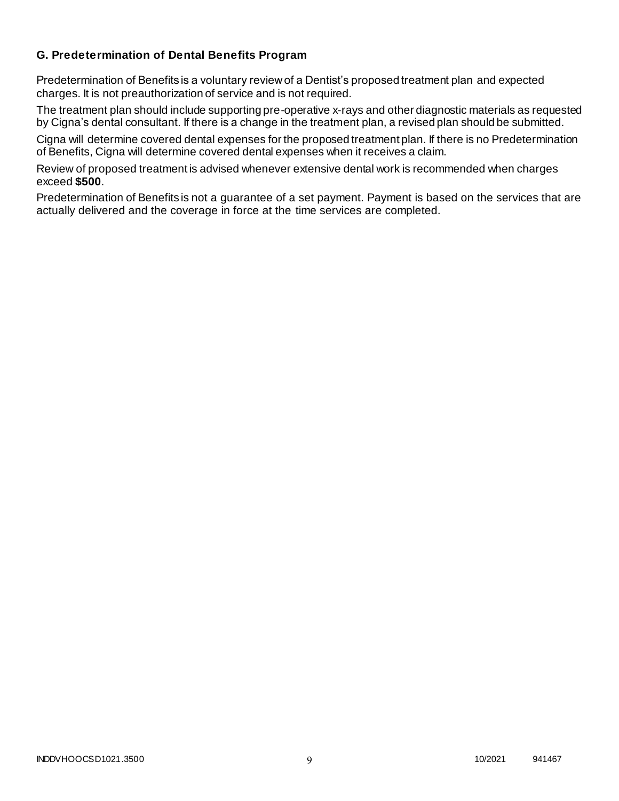### **G. Predetermination of Dental Benefits Program**

Predetermination of Benefits is a voluntary review of a Dentist's proposed treatment plan and expected charges. It is not preauthorization of service and is not required.

The treatment plan should include supporting pre-operative x-rays and other diagnostic materials as requested by Cigna's dental consultant. If there is a change in the treatment plan, a revised plan should be submitted.

Cigna will determine covered dental expenses for the proposed treatment plan. If there is no Predetermination of Benefits, Cigna will determine covered dental expenses when it receives a claim.

Review of proposed treatment is advised whenever extensive dental work is recommended when charges exceed **\$500**.

Predetermination of Benefits is not a guarantee of a set payment. Payment is based on the services that are actually delivered and the coverage in force at the time services are completed.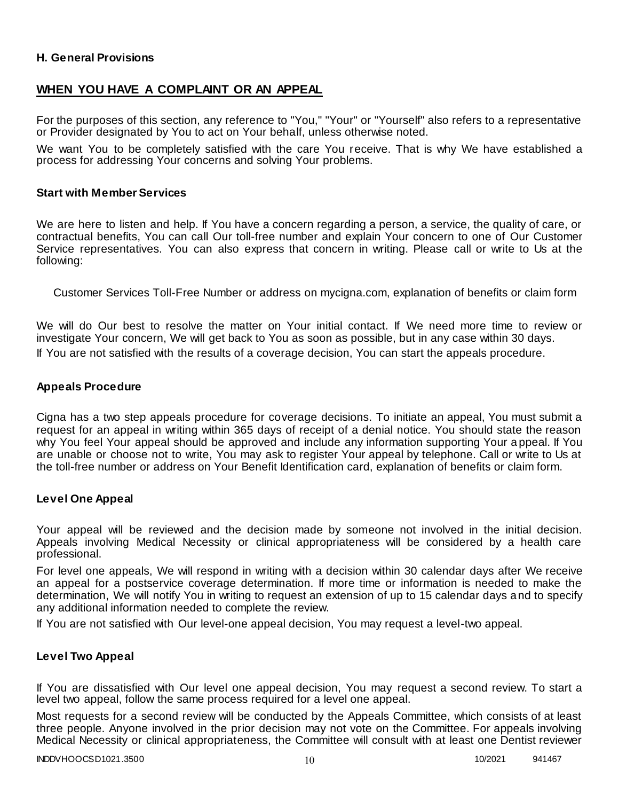### **H. General Provisions**

# **WHEN YOU HAVE A COMPLAINT OR AN APPEAL**

For the purposes of this section, any reference to "You," "Your" or "Yourself" also refers to a representative or Provider designated by You to act on Your behalf, unless otherwise noted.

We want You to be completely satisfied with the care You receive. That is why We have established a process for addressing Your concerns and solving Your problems.

#### **Start with Member Services**

We are here to listen and help. If You have a concern regarding a person, a service, the quality of care, or contractual benefits, You can call Our toll-free number and explain Your concern to one of Our Customer Service representatives. You can also express that concern in writing. Please call or write to Us at the following:

Customer Services Toll-Free Number or address on mycigna.com, explanation of benefits or claim form

We will do Our best to resolve the matter on Your initial contact. If We need more time to review or investigate Your concern, We will get back to You as soon as possible, but in any case within 30 days. If You are not satisfied with the results of a coverage decision, You can start the appeals procedure.

#### **Appeals Procedure**

Cigna has a two step appeals procedure for coverage decisions. To initiate an appeal, You must submit a request for an appeal in writing within 365 days of receipt of a denial notice. You should state the reason why You feel Your appeal should be approved and include any information supporting Your a ppeal. If You are unable or choose not to write, You may ask to register Your appeal by telephone. Call or write to Us at the toll-free number or address on Your Benefit Identification card, explanation of benefits or claim form.

#### **Level One Appeal**

Your appeal will be reviewed and the decision made by someone not involved in the initial decision. Appeals involving Medical Necessity or clinical appropriateness will be considered by a health care professional.

For level one appeals, We will respond in writing with a decision within 30 calendar days after We receive an appeal for a postservice coverage determination. If more time or information is needed to make the determination, We will notify You in writing to request an extension of up to 15 calendar days and to specify any additional information needed to complete the review.

If You are not satisfied with Our level-one appeal decision, You may request a level-two appeal.

### **Level Two Appeal**

If You are dissatisfied with Our level one appeal decision, You may request a second review. To start a level two appeal, follow the same process required for a level one appeal.

Most requests for a second review will be conducted by the Appeals Committee, which consists of at least three people. Anyone involved in the prior decision may not vote on the Committee. For appeals involving Medical Necessity or clinical appropriateness, the Committee will consult with at least one Dentist reviewer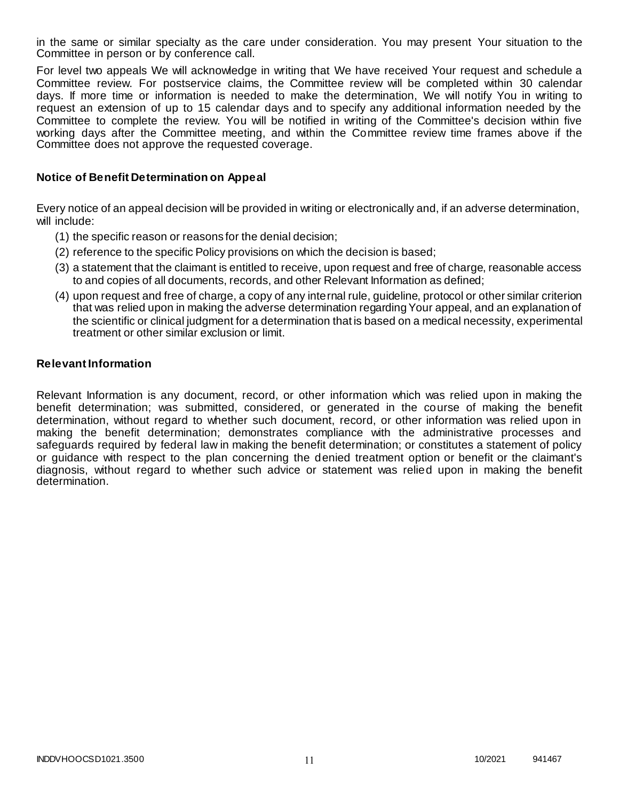in the same or similar specialty as the care under consideration. You may present Your situation to the Committee in person or by conference call.

For level two appeals We will acknowledge in writing that We have received Your request and schedule a Committee review. For postservice claims, the Committee review will be completed within 30 calendar days. If more time or information is needed to make the determination, We will notify You in writing to request an extension of up to 15 calendar days and to specify any additional information needed by the Committee to complete the review. You will be notified in writing of the Committee's decision within five working days after the Committee meeting, and within the Committee review time frames above if the Committee does not approve the requested coverage.

### **Notice of Benefit Determination on Appeal**

Every notice of an appeal decision will be provided in writing or electronically and, if an adverse determination, will include:

- (1) the specific reason or reasons for the denial decision;
- (2) reference to the specific Policy provisions on which the decision is based;
- (3) a statement that the claimant is entitled to receive, upon request and free of charge, reasonable access to and copies of all documents, records, and other Relevant Information as defined;
- (4) upon request and free of charge, a copy of any internal rule, guideline, protocol or other similar criterion that was relied upon in making the adverse determination regarding Your appeal, and an explanation of the scientific or clinical judgment for a determination that is based on a medical necessity, experimental treatment or other similar exclusion or limit.

#### **Relevant Information**

Relevant Information is any document, record, or other information which was relied upon in making the benefit determination; was submitted, considered, or generated in the course of making the benefit determination, without regard to whether such document, record, or other information was relied upon in making the benefit determination; demonstrates compliance with the administrative processes and safeguards required by federal law in making the benefit determination; or constitutes a statement of policy or guidance with respect to the plan concerning the denied treatment option or benefit or the claimant's diagnosis, without regard to whether such advice or statement was relied upon in making the benefit determination.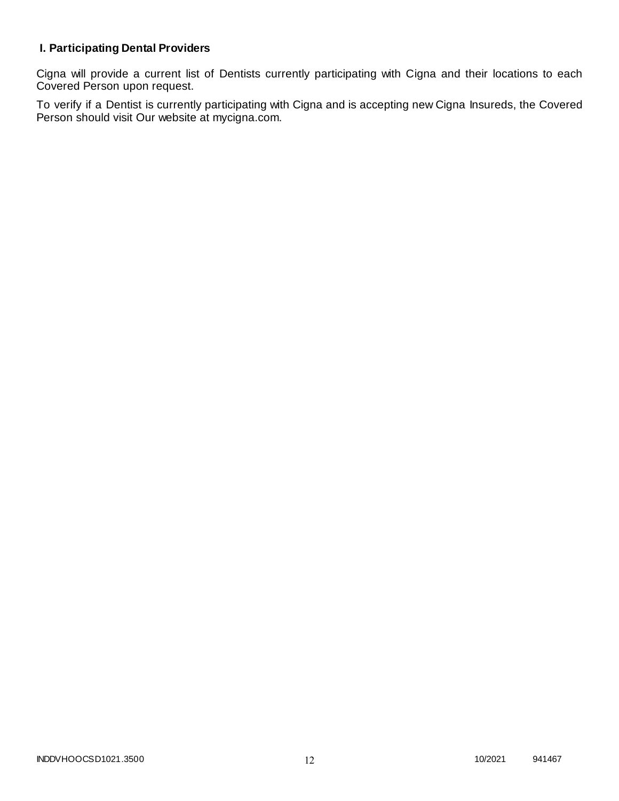# **I. Participating Dental Providers**

Cigna will provide a current list of Dentists currently participating with Cigna and their locations to each Covered Person upon request.

To verify if a Dentist is currently participating with Cigna and is accepting new Cigna Insureds, the Covered Person should visit Our website at mycigna.com.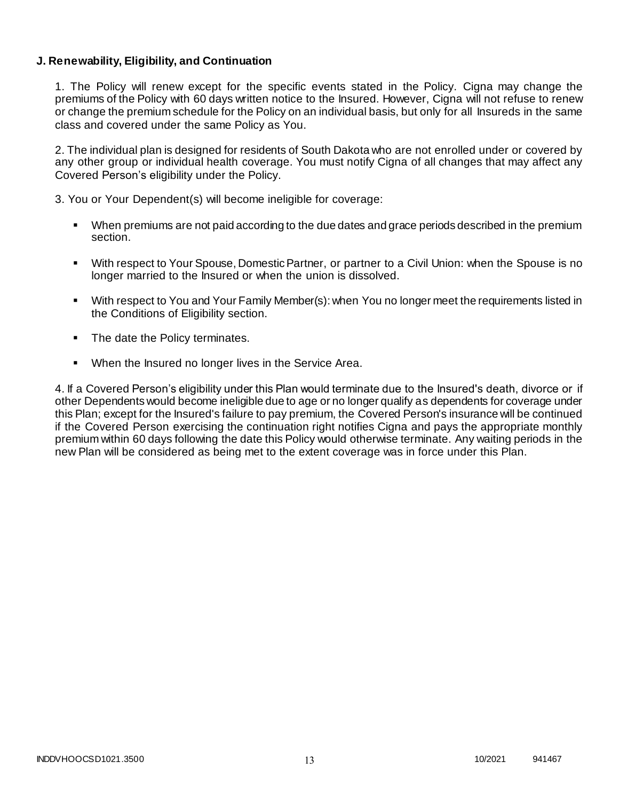### **J. Renewability, Eligibility, and Continuation**

1. The Policy will renew except for the specific events stated in the Policy. Cigna may change the premiums of the Policy with 60 days written notice to the Insured. However, Cigna will not refuse to renew or change the premium schedule for the Policy on an individual basis, but only for all Insureds in the same class and covered under the same Policy as You.

2. The individual plan is designed for residents of South Dakota who are not enrolled under or covered by any other group or individual health coverage. You must notify Cigna of all changes that may affect any Covered Person's eligibility under the Policy.

3. You or Your Dependent(s) will become ineligible for coverage:

- When premiums are not paid according to the due dates and grace periods described in the premium section.
- With respect to Your Spouse, Domestic Partner, or partner to a Civil Union: when the Spouse is no longer married to the Insured or when the union is dissolved.
- With respect to You and Your Family Member(s): when You no longer meet the requirements listed in the Conditions of Eligibility section.
- The date the Policy terminates.
- When the Insured no longer lives in the Service Area.

4. If a Covered Person's eligibility under this Plan would terminate due to the Insured's death, divorce or if other Dependents would become ineligible due to age or no longer qualify as dependents for coverage under this Plan; except for the Insured's failure to pay premium, the Covered Person's insurance will be continued if the Covered Person exercising the continuation right notifies Cigna and pays the appropriate monthly premium within 60 days following the date this Policy would otherwise terminate. Any waiting periods in the new Plan will be considered as being met to the extent coverage was in force under this Plan.